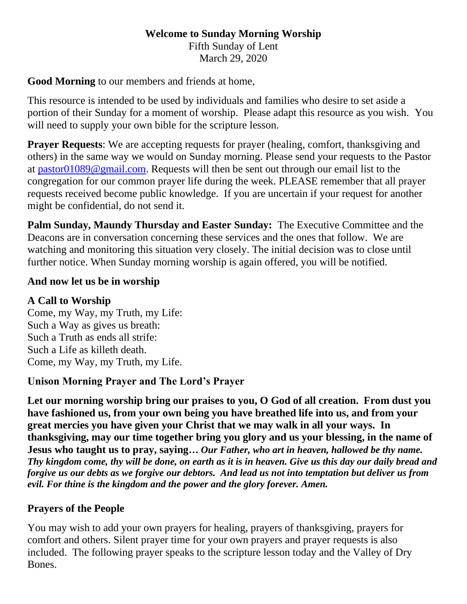### **Welcome to Sunday Morning Worship** Fifth Sunday of Lent March 29, 2020

## **Good Morning** to our members and friends at home,

This resource is intended to be used by individuals and families who desire to set aside a portion of their Sunday for a moment of worship. Please adapt this resource as you wish. You will need to supply your own bible for the scripture lesson.

**Prayer Requests:** We are accepting requests for prayer (healing, comfort, thanksgiving and others) in the same way we would on Sunday morning. Please send your requests to the Pastor at [pastor01089@gmail.com.](mailto:pastor01089@gmail.com) Requests will then be sent out through our email list to the congregation for our common prayer life during the week. PLEASE remember that all prayer requests received become public knowledge. If you are uncertain if your request for another might be confidential, do not send it.

**Palm Sunday, Maundy Thursday and Easter Sunday:** The Executive Committee and the Deacons are in conversation concerning these services and the ones that follow. We are watching and monitoring this situation very closely. The initial decision was to close until further notice. When Sunday morning worship is again offered, you will be notified.

### **And now let us be in worship**

### **A Call to Worship**

Come, my Way, my Truth, my Life: Such a Way as gives us breath: Such a Truth as ends all strife: Such a Life as killeth death. Come, my Way, my Truth, my Life.

## **Unison Morning Prayer and The Lord's Prayer**

**Let our morning worship bring our praises to you, O God of all creation. From dust you have fashioned us, from your own being you have breathed life into us, and from your great mercies you have given your Christ that we may walk in all your ways. In thanksgiving, may our time together bring you glory and us your blessing, in the name of Jesus who taught us to pray, saying…** *Our Father, who art in heaven, hallowed be thy name. Thy kingdom come, thy will be done, on earth as it is in heaven. Give us this day our daily bread and forgive us our debts as we forgive our debtors. And lead us not into temptation but deliver us from evil. For thine is the kingdom and the power and the glory forever. Amen.*

## **Prayers of the People**

You may wish to add your own prayers for healing, prayers of thanksgiving, prayers for comfort and others. Silent prayer time for your own prayers and prayer requests is also included. The following prayer speaks to the scripture lesson today and the Valley of Dry Bones.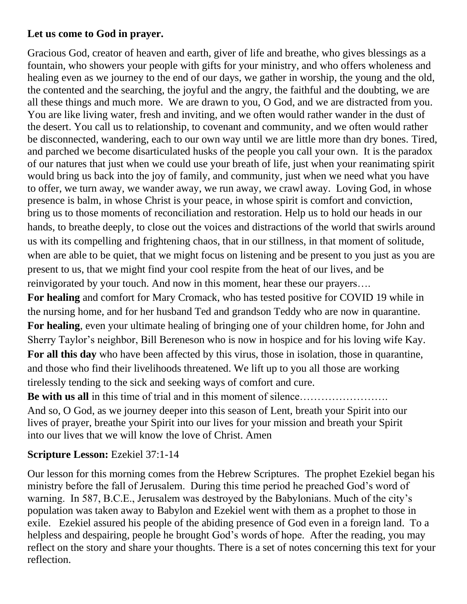# **Let us come to God in prayer.**

Gracious God, creator of heaven and earth, giver of life and breathe, who gives blessings as a fountain, who showers your people with gifts for your ministry, and who offers wholeness and healing even as we journey to the end of our days, we gather in worship, the young and the old, the contented and the searching, the joyful and the angry, the faithful and the doubting, we are all these things and much more. We are drawn to you, O God, and we are distracted from you. You are like living water, fresh and inviting, and we often would rather wander in the dust of the desert. You call us to relationship, to covenant and community, and we often would rather be disconnected, wandering, each to our own way until we are little more than dry bones. Tired, and parched we become disarticulated husks of the people you call your own. It is the paradox of our natures that just when we could use your breath of life, just when your reanimating spirit would bring us back into the joy of family, and community, just when we need what you have to offer, we turn away, we wander away, we run away, we crawl away. Loving God, in whose presence is balm, in whose Christ is your peace, in whose spirit is comfort and conviction, bring us to those moments of reconciliation and restoration. Help us to hold our heads in our hands, to breathe deeply, to close out the voices and distractions of the world that swirls around us with its compelling and frightening chaos, that in our stillness, in that moment of solitude, when are able to be quiet, that we might focus on listening and be present to you just as you are present to us, that we might find your cool respite from the heat of our lives, and be reinvigorated by your touch. And now in this moment, hear these our prayers…. **For healing** and comfort for Mary Cromack, who has tested positive for COVID 19 while in the nursing home, and for her husband Ted and grandson Teddy who are now in quarantine. **For healing**, even your ultimate healing of bringing one of your children home, for John and Sherry Taylor's neighbor, Bill Bereneson who is now in hospice and for his loving wife Kay. **For all this day** who have been affected by this virus, those in isolation, those in quarantine, and those who find their livelihoods threatened. We lift up to you all those are working

tirelessly tending to the sick and seeking ways of comfort and cure. **Be with us all** in this time of trial and in this moment of silence…………………….

And so, O God, as we journey deeper into this season of Lent, breath your Spirit into our lives of prayer, breathe your Spirit into our lives for your mission and breath your Spirit into our lives that we will know the love of Christ. Amen

# **Scripture Lesson:** Ezekiel 37:1-14

Our lesson for this morning comes from the Hebrew Scriptures. The prophet Ezekiel began his ministry before the fall of Jerusalem. During this time period he preached God's word of warning. In 587, B.C.E., Jerusalem was destroyed by the Babylonians. Much of the city's population was taken away to Babylon and Ezekiel went with them as a prophet to those in exile. Ezekiel assured his people of the abiding presence of God even in a foreign land. To a helpless and despairing, people he brought God's words of hope. After the reading, you may reflect on the story and share your thoughts. There is a set of notes concerning this text for your reflection.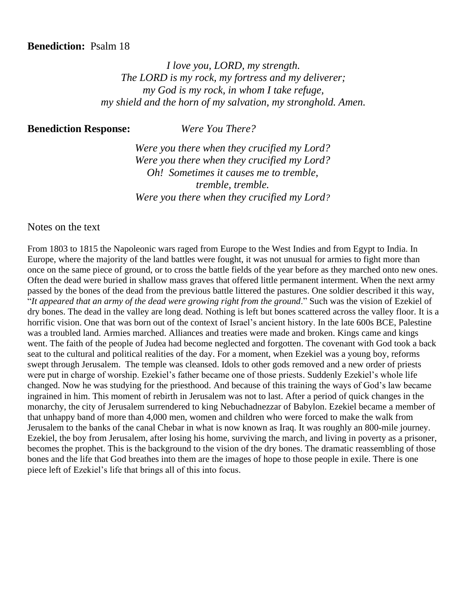#### **Benediction:** Psalm 18

*I love you, LORD, my strength. The LORD is my rock, my fortress and my deliverer; my God is my rock, in whom I take refuge, my shield and the horn of my salvation, my stronghold. Amen.*

**Benediction Response:** *Were You There?*

*Were you there when they crucified my Lord? Were you there when they crucified my Lord? Oh! Sometimes it causes me to tremble, tremble, tremble. Were you there when they crucified my Lord?*

Notes on the text

From 1803 to 1815 the Napoleonic wars raged from Europe to the West Indies and from Egypt to India. In Europe, where the majority of the land battles were fought, it was not unusual for armies to fight more than once on the same piece of ground, or to cross the battle fields of the year before as they marched onto new ones. Often the dead were buried in shallow mass graves that offered little permanent interment. When the next army passed by the bones of the dead from the previous battle littered the pastures. One soldier described it this way, "*It appeared that an army of the dead were growing right from the ground*." Such was the vision of Ezekiel of dry bones. The dead in the valley are long dead. Nothing is left but bones scattered across the valley floor. It is a horrific vision. One that was born out of the context of Israel's ancient history. In the late 600s BCE, Palestine was a troubled land. Armies marched. Alliances and treaties were made and broken. Kings came and kings went. The faith of the people of Judea had become neglected and forgotten. The covenant with God took a back seat to the cultural and political realities of the day. For a moment, when Ezekiel was a young boy, reforms swept through Jerusalem. The temple was cleansed. Idols to other gods removed and a new order of priests were put in charge of worship. Ezekiel's father became one of those priests. Suddenly Ezekiel's whole life changed. Now he was studying for the priesthood. And because of this training the ways of God's law became ingrained in him. This moment of rebirth in Jerusalem was not to last. After a period of quick changes in the monarchy, the city of Jerusalem surrendered to king Nebuchadnezzar of Babylon. Ezekiel became a member of that unhappy band of more than 4,000 men, women and children who were forced to make the walk from Jerusalem to the banks of the canal Chebar in what is now known as Iraq. It was roughly an 800-mile journey. Ezekiel, the boy from Jerusalem, after losing his home, surviving the march, and living in poverty as a prisoner, becomes the prophet. This is the background to the vision of the dry bones. The dramatic reassembling of those bones and the life that God breathes into them are the images of hope to those people in exile. There is one piece left of Ezekiel's life that brings all of this into focus.